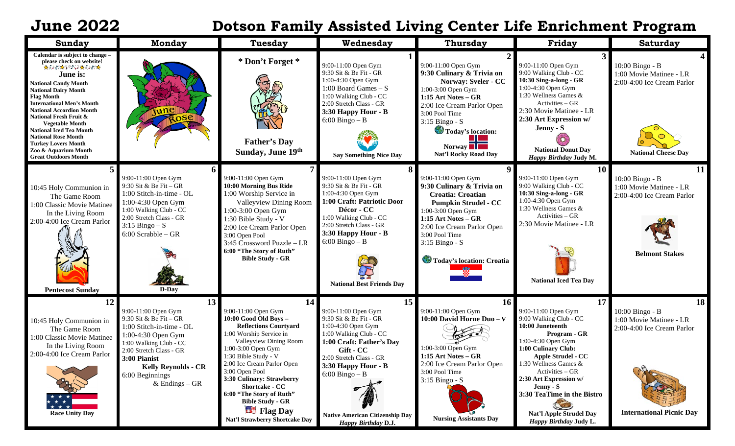## **June 2022 Dotson Family Assisted Living Center Life Enrichment Program**

| Sunday                                                                                                                                                                                                                                                                                                                                                                                                                                                       | <b>Monday</b>                                                                                                                                                                                                                                   | <b>Tuesday</b>                                                                                                                                                                                                                                                                                                                                                                                       | Wednesday                                                                                                                                                                                                                                                                           | <b>Thursday</b>                                                                                                                                                                                                                                               | Friday                                                                                                                                                                                                                                                                                                                                  | <b>Saturday</b>                                                                                                   |
|--------------------------------------------------------------------------------------------------------------------------------------------------------------------------------------------------------------------------------------------------------------------------------------------------------------------------------------------------------------------------------------------------------------------------------------------------------------|-------------------------------------------------------------------------------------------------------------------------------------------------------------------------------------------------------------------------------------------------|------------------------------------------------------------------------------------------------------------------------------------------------------------------------------------------------------------------------------------------------------------------------------------------------------------------------------------------------------------------------------------------------------|-------------------------------------------------------------------------------------------------------------------------------------------------------------------------------------------------------------------------------------------------------------------------------------|---------------------------------------------------------------------------------------------------------------------------------------------------------------------------------------------------------------------------------------------------------------|-----------------------------------------------------------------------------------------------------------------------------------------------------------------------------------------------------------------------------------------------------------------------------------------------------------------------------------------|-------------------------------------------------------------------------------------------------------------------|
| Calendar is subject to change -<br>please check on website!<br>★ネッポ☆すずだい☆ネッポ☆<br>June is:<br><b>National Candy Month</b><br><b>National Dairy Month</b><br><b>Flag Month</b><br><b>International Men's Month</b><br><b>National Accordion Month</b><br>National Fresh Fruit &<br><b>Vegetable Month</b><br><b>National Iced Tea Month</b><br><b>National Rose Month</b><br><b>Turkey Lovers Month</b><br>Zoo & Aquarium Month<br><b>Great Outdoors Month</b> |                                                                                                                                                                                                                                                 | * Don't Forget *<br><b>Father's Day</b><br>Sunday, June 19th                                                                                                                                                                                                                                                                                                                                         | 9:00-11:00 Open Gym<br>9:30 Sit & Be Fit - GR<br>1:00-4:30 Open Gym<br>1:00 Board Games $- S$<br>1:00 Walking Club - CC<br>2:00 Stretch Class - GR<br>3:30 Happy Hour - B<br>$6:00$ Bingo – B<br><b>Say Something Nice Day</b>                                                      | 9:00-11:00 Open Gym<br>9:30 Culinary & Trivia on<br>Norway: Sveler - CC<br>1:00-3:00 Open Gym<br>1:15 Art Notes - GR<br>2:00 Ice Cream Parlor Open<br>3:00 Pool Time<br>$3:15$ Bingo - S<br>Today's location:<br>Norway <b>Norway</b><br>Nat'l Rocky Road Day | 9:00-11:00 Open Gym<br>9:00 Walking Club - CC<br>10:30 Sing-a-long - GR<br>1:00-4:30 Open Gym<br>1:30 Wellness Games &<br>Activities - GR<br>2:30 Movie Matinee - LR<br>2:30 Art Expression w/<br>Jenny - S<br><b>National Donut Day</b><br>Happy Birthday Judy M.                                                                      | 10:00 Bingo - B<br>1:00 Movie Matinee - LR<br>2:00-4:00 Ice Cream Parlor<br><b>National Cheese Day</b>            |
| 10:45 Holy Communion in<br>The Game Room<br>1:00 Classic Movie Matinee<br>In the Living Room<br>2:00-4:00 Ice Cream Parlor<br><b>Pentecost Sunday</b>                                                                                                                                                                                                                                                                                                        | 9:00-11:00 Open Gym<br>9:30 Sit & Be Fit - GR<br>1:00 Stitch-in-time - OL<br>1:00-4:30 Open Gym<br>1:00 Walking Club - CC<br>2:00 Stretch Class - GR<br>$3:15$ Bingo – S<br>$6:00$ Scrabble – GR<br>D-Day                                       | 9:00-11:00 Open Gym<br>10:00 Morning Bus Ride<br>1:00 Worship Service in<br><b>Valleyview Dining Room</b><br>1:00-3:00 Open Gym<br>1:30 Bible Study - V<br>2:00 Ice Cream Parlor Open<br>3:00 Open Pool<br>3:45 Crossword Puzzle - LR<br>6:00 "The Story of Ruth"<br><b>Bible Study - GR</b>                                                                                                         | 9:00-11:00 Open Gym<br>9:30 Sit & Be Fit - GR<br>1:00-4:30 Open Gym<br>1:00 Craft: Patriotic Door<br>Décor - CC<br>1:00 Walking Club - CC<br>2:00 Stretch Class - GR<br>3:30 Happy Hour - B<br>$6:00 \text{ Bingo} - B$<br><b>National Best Friends Day</b>                         | 9:00-11:00 Open Gym<br>9:30 Culinary & Trivia on<br><b>Croatia: Croatian</b><br><b>Pumpkin Strudel - CC</b><br>1:00-3:00 Open Gym<br>1:15 Art Notes - GR<br>2:00 Ice Cream Parlor Open<br>3:00 Pool Time<br>$3:15$ Bingo - S<br>Today's location: Croatia     | 10 <sup>1</sup><br>9:00-11:00 Open Gym<br>9:00 Walking Club - CC<br>10:30 Sing-a-long - GR<br>1:00-4:30 Open Gym<br>1:30 Wellness Games &<br>Activities - GR<br>2:30 Movie Matinee - LR<br><b>National Iced Tea Day</b>                                                                                                                 | 11<br>10:00 Bingo - B<br>1:00 Movie Matinee - LR<br>2:00-4:00 Ice Cream Parlor<br><b>Belmont Stakes</b>           |
| 12<br>10:45 Holy Communion in<br>The Game Room<br>1:00 Classic Movie Matinee<br>In the Living Room<br>2:00-4:00 Ice Cream Parlor<br>* * *<br><b>Race Unity Day</b>                                                                                                                                                                                                                                                                                           | 13<br>9:00-11:00 Open Gym<br>9:30 Sit & Be Fit – GR<br>1:00 Stitch-in-time - OL<br>1:00-4:30 Open Gym<br>1:00 Walking Club - CC<br>2:00 Stretch Class - GR<br>3:00 Pianist<br><b>Kelly Reynolds - CR</b><br>6:00 Beginnings<br>$&$ Endings – GR | 14<br>9:00-11:00 Open Gym<br>$10:00$ Good Old Boys $-$<br><b>Reflections Courtyard</b><br>1:00 Worship Service in<br>Valleyview Dining Room<br>1:00-3:00 Open Gym<br>1:30 Bible Study - V<br>2:00 Ice Cream Parlor Open<br>3:00 Open Pool<br>3:30 Culinary: Strawberry<br><b>Shortcake - CC</b><br>6:00 "The Story of Ruth"<br><b>Bible Study - GR</b><br>Flag Day<br>Nat'l Strawberry Shortcake Day | 15<br>9:00-11:00 Open Gym<br>9:30 Sit & Be Fit - GR<br>1:00-4:30 Open Gym<br>1:00 Walking Club - CC<br>1:00 Craft: Father's Day<br>Gift - CC<br>2:00 Stretch Class - GR<br>3:30 Happy Hour - B<br>$6:00$ Bingo - B<br><b>Native American Citizenship Day</b><br>Happy Birthday D.J. | <b>16</b><br>9:00-11:00 Open Gym<br>10:00 David Horne Duo - V<br>1:00-3:00 Open Gym<br>1:15 Art Notes $-$ GR<br>2:00 Ice Cream Parlor Open<br>3:00 Pool Time<br>$3:15$ Bingo - S<br><b>Nursing Assistants Day</b>                                             | 17<br>9:00-11:00 Open Gym<br>9:00 Walking Club - CC<br>10:00 Juneteenth<br>Program - GR<br>1:00-4:30 Open Gym<br>1:00 Culinary Club:<br><b>Apple Strudel - CC</b><br>1:30 Wellness Games &<br>Activities – GR<br>2:30 Art Expression w/<br>Jenny - S<br>3:30 TeaTime in the Bistro<br>Nat'l Apple Strudel Day<br>Happy Birthday Judy L. | 18<br>10:00 Bingo - B<br>1:00 Movie Matinee - LR<br>2:00-4:00 Ice Cream Parlor<br><b>International Picnic Day</b> |